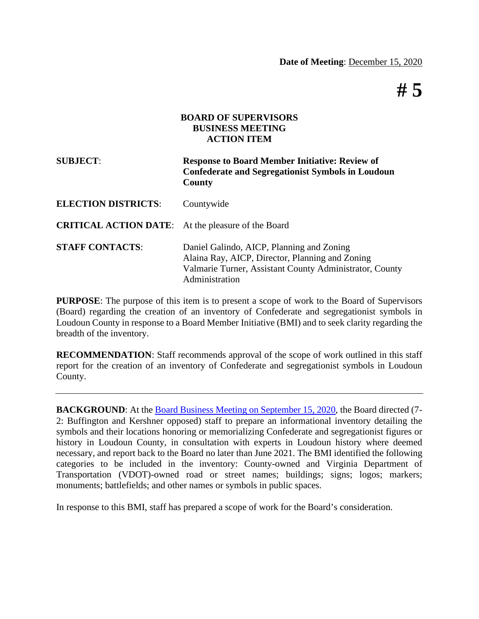**# 5**

### **BOARD OF SUPERVISORS BUSINESS MEETING ACTION ITEM**

| <b>SUBJECT:</b>                                           | <b>Response to Board Member Initiative: Review of</b><br><b>Confederate and Segregationist Symbols in Loudoun</b><br>County                                               |
|-----------------------------------------------------------|---------------------------------------------------------------------------------------------------------------------------------------------------------------------------|
| <b>ELECTION DISTRICTS:</b>                                | Countywide                                                                                                                                                                |
| <b>CRITICAL ACTION DATE:</b> At the pleasure of the Board |                                                                                                                                                                           |
| <b>STAFF CONTACTS:</b>                                    | Daniel Galindo, AICP, Planning and Zoning<br>Alaina Ray, AICP, Director, Planning and Zoning<br>Valmarie Turner, Assistant County Administrator, County<br>Administration |

**PURPOSE**: The purpose of this item is to present a scope of work to the Board of Supervisors (Board) regarding the creation of an inventory of Confederate and segregationist symbols in Loudoun County in response to a Board Member Initiative (BMI) and to seek clarity regarding the breadth of the inventory.

**RECOMMENDATION**: Staff recommends approval of the scope of work outlined in this staff report for the creation of an inventory of Confederate and segregationist symbols in Loudoun County.

**BACKGROUND:** At the [Board Business Meeting on September 15, 2020,](https://lfportal.loudoun.gov/LFPortalInternet/0/edoc/440863/Item%2017%20BMI-Confederate%20and%20Segregationist%20Symbols.pdf) the Board directed (7-2: Buffington and Kershner opposed) staff to prepare an informational inventory detailing the symbols and their locations honoring or memorializing Confederate and segregationist figures or history in Loudoun County, in consultation with experts in Loudoun history where deemed necessary, and report back to the Board no later than June 2021. The BMI identified the following categories to be included in the inventory: County-owned and Virginia Department of Transportation (VDOT)-owned road or street names; buildings; signs; logos; markers; monuments; battlefields; and other names or symbols in public spaces.

In response to this BMI, staff has prepared a scope of work for the Board's consideration.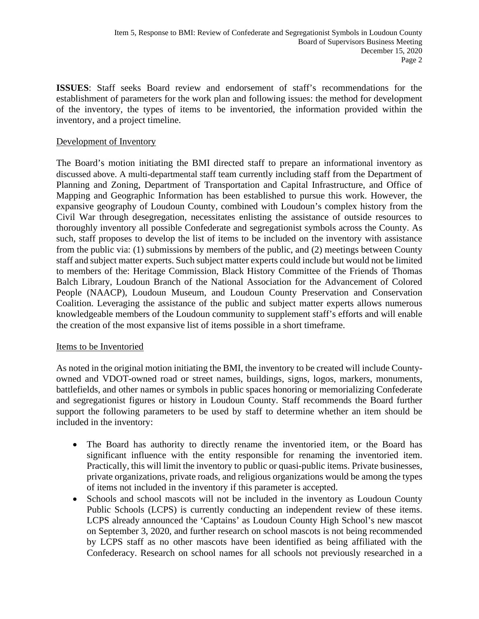**ISSUES**: Staff seeks Board review and endorsement of staff's recommendations for the establishment of parameters for the work plan and following issues: the method for development of the inventory, the types of items to be inventoried, the information provided within the inventory, and a project timeline.

## Development of Inventory

The Board's motion initiating the BMI directed staff to prepare an informational inventory as discussed above. A multi-departmental staff team currently including staff from the Department of Planning and Zoning, Department of Transportation and Capital Infrastructure, and Office of Mapping and Geographic Information has been established to pursue this work. However, the expansive geography of Loudoun County, combined with Loudoun's complex history from the Civil War through desegregation, necessitates enlisting the assistance of outside resources to thoroughly inventory all possible Confederate and segregationist symbols across the County. As such, staff proposes to develop the list of items to be included on the inventory with assistance from the public via: (1) submissions by members of the public, and (2) meetings between County staff and subject matter experts. Such subject matter experts could include but would not be limited to members of the: Heritage Commission, Black History Committee of the Friends of Thomas Balch Library, Loudoun Branch of the National Association for the Advancement of Colored People (NAACP), Loudoun Museum, and Loudoun County Preservation and Conservation Coalition. Leveraging the assistance of the public and subject matter experts allows numerous knowledgeable members of the Loudoun community to supplement staff's efforts and will enable the creation of the most expansive list of items possible in a short timeframe.

## Items to be Inventoried

As noted in the original motion initiating the BMI, the inventory to be created will include Countyowned and VDOT-owned road or street names, buildings, signs, logos, markers, monuments, battlefields, and other names or symbols in public spaces honoring or memorializing Confederate and segregationist figures or history in Loudoun County. Staff recommends the Board further support the following parameters to be used by staff to determine whether an item should be included in the inventory:

- The Board has authority to directly rename the inventoried item, or the Board has significant influence with the entity responsible for renaming the inventoried item. Practically, this will limit the inventory to public or quasi-public items. Private businesses, private organizations, private roads, and religious organizations would be among the types of items not included in the inventory if this parameter is accepted.
- Schools and school mascots will not be included in the inventory as Loudoun County Public Schools (LCPS) is currently conducting an independent review of these items. LCPS already announced the 'Captains' as Loudoun County High School's new mascot on September 3, 2020, and further research on school mascots is not being recommended by LCPS staff as no other mascots have been identified as being affiliated with the Confederacy. Research on school names for all schools not previously researched in a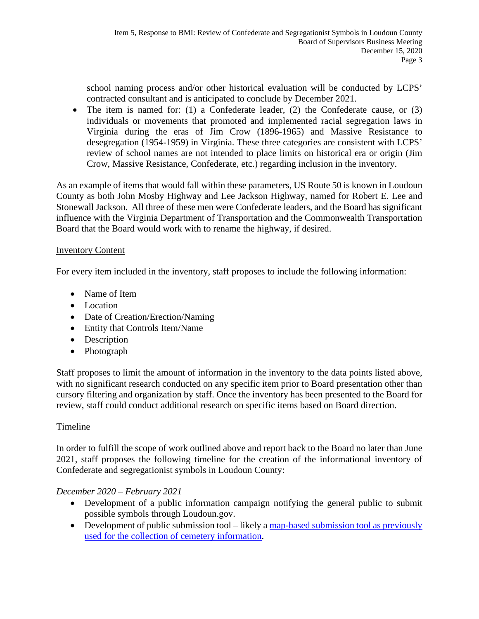school naming process and/or other historical evaluation will be conducted by LCPS' contracted consultant and is anticipated to conclude by December 2021.

• The item is named for: (1) a Confederate leader, (2) the Confederate cause, or (3) individuals or movements that promoted and implemented racial segregation laws in Virginia during the eras of Jim Crow (1896-1965) and Massive Resistance to desegregation (1954-1959) in Virginia. These three categories are consistent with LCPS' review of school names are not intended to place limits on historical era or origin (Jim Crow, Massive Resistance, Confederate, etc.) regarding inclusion in the inventory.

As an example of items that would fall within these parameters, US Route 50 is known in Loudoun County as both John Mosby Highway and Lee Jackson Highway, named for Robert E. Lee and Stonewall Jackson. All three of these men were Confederate leaders, and the Board has significant influence with the Virginia Department of Transportation and the Commonwealth Transportation Board that the Board would work with to rename the highway, if desired.

# Inventory Content

For every item included in the inventory, staff proposes to include the following information:

- Name of Item
- Location
- Date of Creation/Erection/Naming
- Entity that Controls Item/Name
- Description
- Photograph

Staff proposes to limit the amount of information in the inventory to the data points listed above, with no significant research conducted on any specific item prior to Board presentation other than cursory filtering and organization by staff. Once the inventory has been presented to the Board for review, staff could conduct additional research on specific items based on Board direction.

## Timeline

In order to fulfill the scope of work outlined above and report back to the Board no later than June 2021, staff proposes the following timeline for the creation of the informational inventory of Confederate and segregationist symbols in Loudoun County:

## *December 2020 – February 2021*

- Development of a public information campaign notifying the general public to submit possible symbols through Loudoun.gov.
- Development of public submission tool likely a map-based submission tool as previously used for the collection of cemetery information.